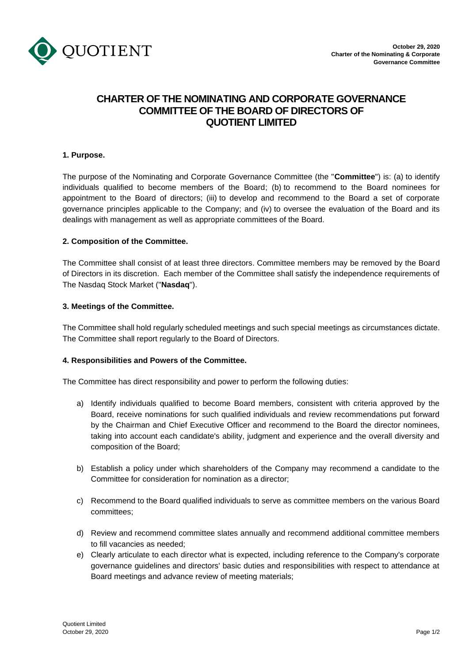

# **CHARTER OF THE NOMINATING AND CORPORATE GOVERNANCE COMMITTEE OF THE BOARD OF DIRECTORS OF QUOTIENT LIMITED**

## **1. Purpose.**

The purpose of the Nominating and Corporate Governance Committee (the "**Committee**") is: (a) to identify individuals qualified to become members of the Board; (b) to recommend to the Board nominees for appointment to the Board of directors; (iii) to develop and recommend to the Board a set of corporate governance principles applicable to the Company; and (iv) to oversee the evaluation of the Board and its dealings with management as well as appropriate committees of the Board.

### **2. Composition of the Committee.**

The Committee shall consist of at least three directors. Committee members may be removed by the Board of Directors in its discretion. Each member of the Committee shall satisfy the independence requirements of The Nasdaq Stock Market ("**Nasdaq**").

### **3. Meetings of the Committee.**

The Committee shall hold regularly scheduled meetings and such special meetings as circumstances dictate. The Committee shall report regularly to the Board of Directors.

## **4. Responsibilities and Powers of the Committee.**

The Committee has direct responsibility and power to perform the following duties:

- a) Identify individuals qualified to become Board members, consistent with criteria approved by the Board, receive nominations for such qualified individuals and review recommendations put forward by the Chairman and Chief Executive Officer and recommend to the Board the director nominees, taking into account each candidate's ability, judgment and experience and the overall diversity and composition of the Board;
- b) Establish a policy under which shareholders of the Company may recommend a candidate to the Committee for consideration for nomination as a director;
- c) Recommend to the Board qualified individuals to serve as committee members on the various Board committees;
- d) Review and recommend committee slates annually and recommend additional committee members to fill vacancies as needed;
- e) Clearly articulate to each director what is expected, including reference to the Company's corporate governance guidelines and directors' basic duties and responsibilities with respect to attendance at Board meetings and advance review of meeting materials;